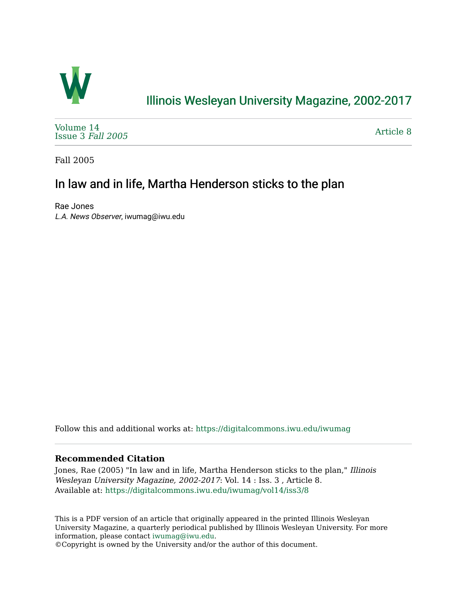

## [Illinois Wesleyan University Magazine, 2002-2017](https://digitalcommons.iwu.edu/iwumag)

[Volume 14](https://digitalcommons.iwu.edu/iwumag/vol14)  [Issue 3](https://digitalcommons.iwu.edu/iwumag/vol14/iss3) Fall 2005

[Article 8](https://digitalcommons.iwu.edu/iwumag/vol14/iss3/8) 

Fall 2005

## In law and in life, Martha Henderson sticks to the plan

Rae Jones L.A. News Observer, iwumag@iwu.edu

Follow this and additional works at: [https://digitalcommons.iwu.edu/iwumag](https://digitalcommons.iwu.edu/iwumag?utm_source=digitalcommons.iwu.edu%2Fiwumag%2Fvol14%2Fiss3%2F8&utm_medium=PDF&utm_campaign=PDFCoverPages) 

## **Recommended Citation**

Jones, Rae (2005) "In law and in life, Martha Henderson sticks to the plan," Illinois Wesleyan University Magazine, 2002-2017: Vol. 14 : Iss. 3 , Article 8. Available at: [https://digitalcommons.iwu.edu/iwumag/vol14/iss3/8](https://digitalcommons.iwu.edu/iwumag/vol14/iss3/8?utm_source=digitalcommons.iwu.edu%2Fiwumag%2Fvol14%2Fiss3%2F8&utm_medium=PDF&utm_campaign=PDFCoverPages)

This is a PDF version of an article that originally appeared in the printed Illinois Wesleyan University Magazine, a quarterly periodical published by Illinois Wesleyan University. For more information, please contact [iwumag@iwu.edu](mailto:iwumag@iwu.edu).

©Copyright is owned by the University and/or the author of this document.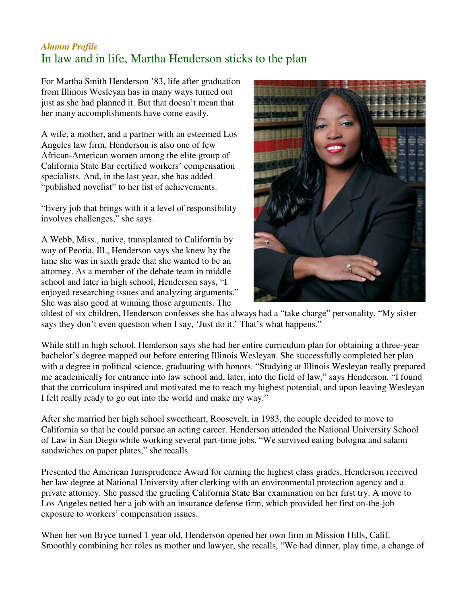## *Alumni Profile* In law and in life, Martha Henderson sticks to the plan

For Martha Smith Henderson '83, life after graduation from Illinois Wesleyan has in many ways turned out just as she had planned it. But that doesn't mean that her many accomplishments have come easily.

A wife, a mother, and a partner with an esteemed Los Angeles law firm, Henderson is also one of few African-American women among the elite group of California State Bar certified workers' compensation specialists. And, in the last year, she has added "published novelist" to her list of achievements.

"Every job that brings with it a level of responsibility involves challenges," she says.

A Webb, Miss., native, transplanted to California by way of Peoria, Ill., Henderson says she knew by the time she was in sixth grade that she wanted to be an attorney. As a member of the debate team in middle school and later in high school, Henderson says, "I enjoyed researching issues and analyzing arguments." She was also good at winning those arguments. The



oldest of six children, Henderson confesses she has always had a "take charge" personality. "My sister says they don't even question when I say, 'Just do it.' That's what happens."

While still in high school, Henderson says she had her entire curriculum plan for obtaining a three-year bachelor's degree mapped out before entering Illinois Wesleyan. She successfully completed her plan with a degree in political science, graduating with honors. "Studying at Illinois Wesleyan really prepared me academically for entrance into law school and, later, into the field of law," says Henderson. "I found that the curriculum inspired and motivated me to reach my highest potential, and upon leaving Wesleyan I felt really ready to go out into the world and make my way."

After she married her high school sweetheart, Roosevelt, in 1983, the couple decided to move to California so that he could pursue an acting career. Henderson attended the National University School of Law in San Diego while working several part-time jobs. "We survived eating bologna and salami sandwiches on paper plates," she recalls.

Presented the American Jurisprudence Award for earning the highest class grades, Henderson received her law degree at National University after clerking with an environmental protection agency and a private attorney. She passed the grueling California State Bar examination on her first try. A move to Los Angeles netted her a job with an insurance defense firm, which provided her first on-the-job exposure to workers' compensation issues.

When her son Bryce turned 1 year old, Henderson opened her own firm in Mission Hills, Calif. Smoothly combining her roles as mother and lawyer, she recalls, "We had dinner, play time, a change of